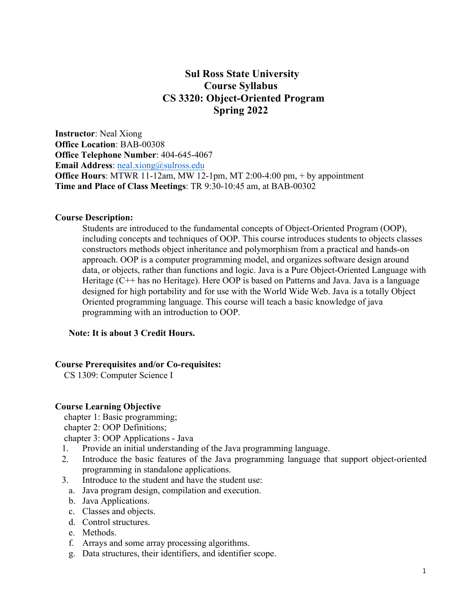# **Sul Ross State University Course Syllabus CS 3320: Object-Oriented Program Spring 2022**

**Instructor**: Neal Xiong **Office Location**: BAB-00308 **Office Telephone Number**: 404-645-4067 **Email Address:** neal.xiong@sulross.edu **Office Hours**: MTWR 11-12am, MW 12-1pm, MT 2:00-4:00 pm, + by appointment **Time and Place of Class Meetings**: TR 9:30-10:45 am, at BAB-00302

#### **Course Description:**

Students are introduced to the fundamental concepts of Object-Oriented Program (OOP), including concepts and techniques of OOP. This course introduces students to objects classes constructors methods object inheritance and polymorphism from a practical and hands-on approach. OOP is a computer programming model, and organizes software design around data, or objects, rather than functions and logic. Java is a Pure Object-Oriented Language with Heritage (C++ has no Heritage). Here OOP is based on Patterns and Java. Java is a language designed for high portability and for use with the World Wide Web. Java is a totally Object Oriented programming language. This course will teach a basic knowledge of java programming with an introduction to OOP.

#### **Note: It is about 3 Credit Hours.**

#### **Course Prerequisites and/or Co-requisites:**

CS 1309: Computer Science I

#### **Course Learning Objective**

chapter 1: Basic programming;

chapter 2: OOP Definitions;

chapter 3: OOP Applications - Java

- 1. Provide an initial understanding of the Java programming language.
- 2. Introduce the basic features of the Java programming language that support object-oriented programming in standalone applications.
- 3. Introduce to the student and have the student use:
	- a. Java program design, compilation and execution.
	- b. Java Applications.
	- c. Classes and objects.
	- d. Control structures.
	- e. Methods.
	- f. Arrays and some array processing algorithms.
	- g. Data structures, their identifiers, and identifier scope.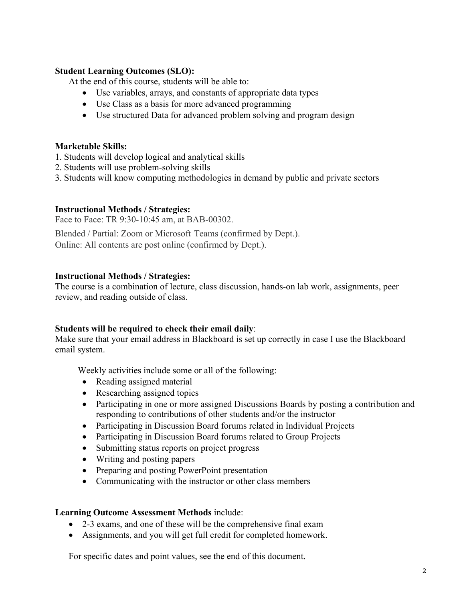## **Student Learning Outcomes (SLO):**

At the end of this course, students will be able to:

- Use variables, arrays, and constants of appropriate data types
- Use Class as a basis for more advanced programming
- Use structured Data for advanced problem solving and program design

## **Marketable Skills:**

- 1. Students will develop logical and analytical skills
- 2. Students will use problem-solving skills
- 3. Students will know computing methodologies in demand by public and private sectors

## **Instructional Methods / Strategies:**

Face to Face: TR 9:30-10:45 am, at BAB-00302.

Blended / Partial: Zoom or Microsoft Teams (confirmed by Dept.). Online: All contents are post online (confirmed by Dept.).

### **Instructional Methods / Strategies:**

The course is a combination of lecture, class discussion, hands-on lab work, assignments, peer review, and reading outside of class.

## **Students will be required to check their email daily**:

Make sure that your email address in Blackboard is set up correctly in case I use the Blackboard email system.

Weekly activities include some or all of the following:

- Reading assigned material
- Researching assigned topics
- Participating in one or more assigned Discussions Boards by posting a contribution and responding to contributions of other students and/or the instructor
- Participating in Discussion Board forums related in Individual Projects
- Participating in Discussion Board forums related to Group Projects
- Submitting status reports on project progress
- Writing and posting papers
- Preparing and posting PowerPoint presentation
- Communicating with the instructor or other class members

#### **Learning Outcome Assessment Methods** include:

- 2-3 exams, and one of these will be the comprehensive final exam
- Assignments, and you will get full credit for completed homework.

For specific dates and point values, see the end of this document.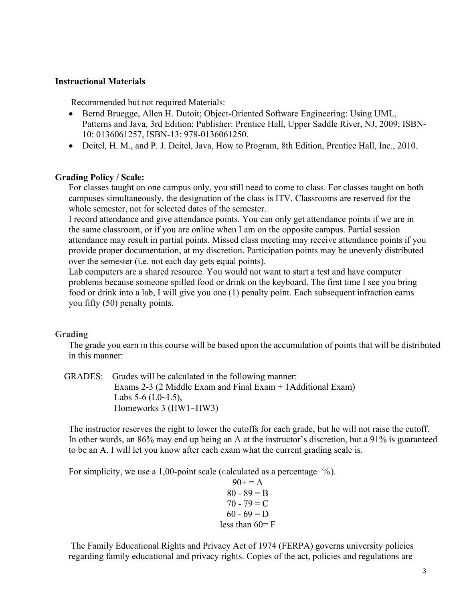#### **Instructional Materials**

Recommended but not required Materials:

- Bernd Bruegge, Allen H. Dutoit; Object-Oriented Software Engineering: Using UML, Patterns and Java, 3rd Edition; Publisher: Prentice Hall, Upper Saddle River, NJ, 2009; ISBN-10: 0136061257, ISBN-13: 978-0136061250.
- Deitel, H. M., and P. J. Deitel, Java, How to Program, 8th Edition, Prentice Hall, Inc., 2010.

### **Grading Policy / Scale:**

For classes taught on one campus only, you still need to come to class. For classes taught on both campuses simultaneously, the designation of the class is ITV. Classrooms are reserved for the whole semester, not for selected dates of the semester.

I record attendance and give attendance points. You can only get attendance points if we are in the same classroom, or if you are online when I am on the opposite campus. Partial session attendance may result in partial points. Missed class meeting may receive attendance points if you provide proper documentation, at my discretion. Participation points may be unevenly distributed over the semester (i.e. not each day gets equal points).

Lab computers are a shared resource. You would not want to start a test and have computer problems because someone spilled food or drink on the keyboard. The first time I see you bring food or drink into a lab, I will give you one (1) penalty point. Each subsequent infraction earns you fifty (50) penalty points.

## **Grading**

The grade you earn in this course will be based upon the accumulation of points that will be distributed in this manner:

 GRADES: Grades will be calculated in the following manner: Exams 2-3 (2 Middle Exam and Final Exam + 1Additional Exam) Labs  $5-6$  (L0 $\sim$ L5), Homeworks 3 (HW1~HW3)

The instructor reserves the right to lower the cutoffs for each grade, but he will not raise the cutoff. In other words, an 86% may end up being an A at the instructor's discretion, but a 91% is guaranteed to be an A. I will let you know after each exam what the current grading scale is.

For simplicity, we use a 1,00-point scale (calculated as a percentage  $\%$ ).

 $90+=A$  $80 - 89 = B$  $70 - 79 = C$  $60 - 69 = D$ less than  $60 = F$ 

The Family Educational Rights and Privacy Act of 1974 (FERPA) governs university policies regarding family educational and privacy rights. Copies of the act, policies and regulations are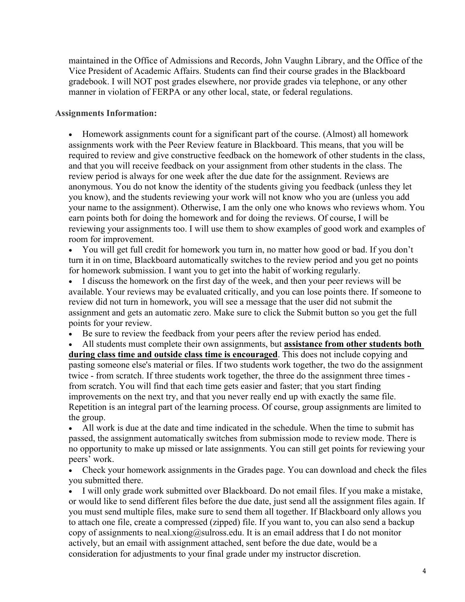maintained in the Office of Admissions and Records, John Vaughn Library, and the Office of the Vice President of Academic Affairs. Students can find their course grades in the Blackboard gradebook. I will NOT post grades elsewhere, nor provide grades via telephone, or any other manner in violation of FERPA or any other local, state, or federal regulations.

### **Assignments Information:**

• Homework assignments count for a significant part of the course. (Almost) all homework assignments work with the Peer Review feature in Blackboard. This means, that you will be required to review and give constructive feedback on the homework of other students in the class, and that you will receive feedback on your assignment from other students in the class. The review period is always for one week after the due date for the assignment. Reviews are anonymous. You do not know the identity of the students giving you feedback (unless they let you know), and the students reviewing your work will not know who you are (unless you add your name to the assignment). Otherwise, I am the only one who knows who reviews whom. You earn points both for doing the homework and for doing the reviews. Of course, I will be reviewing your assignments too. I will use them to show examples of good work and examples of room for improvement.

• You will get full credit for homework you turn in, no matter how good or bad. If you don't turn it in on time, Blackboard automatically switches to the review period and you get no points for homework submission. I want you to get into the habit of working regularly.

• I discuss the homework on the first day of the week, and then your peer reviews will be available. Your reviews may be evaluated critically, and you can lose points there. If someone to review did not turn in homework, you will see a message that the user did not submit the assignment and gets an automatic zero. Make sure to click the Submit button so you get the full points for your review.

• Be sure to review the feedback from your peers after the review period has ended.

• All students must complete their own assignments, but **assistance from other students both during class time and outside class time is encouraged**. This does not include copying and pasting someone else's material or files. If two students work together, the two do the assignment twice - from scratch. If three students work together, the three do the assignment three times from scratch. You will find that each time gets easier and faster; that you start finding improvements on the next try, and that you never really end up with exactly the same file. Repetition is an integral part of the learning process. Of course, group assignments are limited to the group.

• All work is due at the date and time indicated in the schedule. When the time to submit has passed, the assignment automatically switches from submission mode to review mode. There is no opportunity to make up missed or late assignments. You can still get points for reviewing your peers' work.

• Check your homework assignments in the Grades page. You can download and check the files you submitted there.

• I will only grade work submitted over Blackboard. Do not email files. If you make a mistake, or would like to send different files before the due date, just send all the assignment files again. If you must send multiple files, make sure to send them all together. If Blackboard only allows you to attach one file, create a compressed (zipped) file. If you want to, you can also send a backup copy of assignments to neal.xiong@sulross.edu. It is an email address that I do not monitor actively, but an email with assignment attached, sent before the due date, would be a consideration for adjustments to your final grade under my instructor discretion.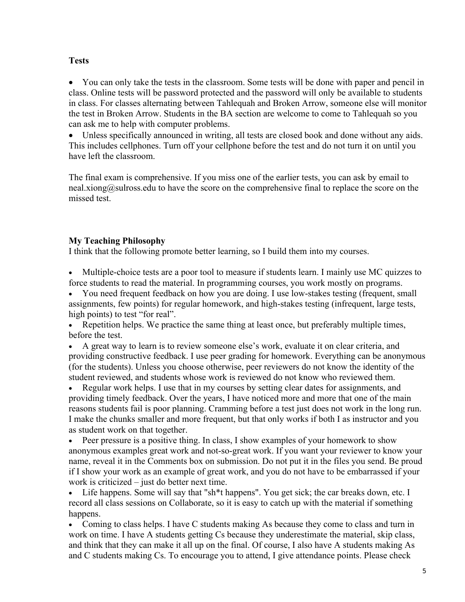## **Tests**

• You can only take the tests in the classroom. Some tests will be done with paper and pencil in class. Online tests will be password protected and the password will only be available to students in class. For classes alternating between Tahlequah and Broken Arrow, someone else will monitor the test in Broken Arrow. Students in the BA section are welcome to come to Tahlequah so you can ask me to help with computer problems.

Unless specifically announced in writing, all tests are closed book and done without any aids. This includes cellphones. Turn off your cellphone before the test and do not turn it on until you have left the classroom.

The final exam is comprehensive. If you miss one of the earlier tests, you can ask by email to neal.xiong@sulross.edu to have the score on the comprehensive final to replace the score on the missed test.

## **My Teaching Philosophy**

I think that the following promote better learning, so I build them into my courses.

• Multiple-choice tests are a poor tool to measure if students learn. I mainly use MC quizzes to force students to read the material. In programming courses, you work mostly on programs.

• You need frequent feedback on how you are doing. I use low-stakes testing (frequent, small assignments, few points) for regular homework, and high-stakes testing (infrequent, large tests, high points) to test "for real".

• Repetition helps. We practice the same thing at least once, but preferably multiple times, before the test.

• A great way to learn is to review someone else's work, evaluate it on clear criteria, and providing constructive feedback. I use peer grading for homework. Everything can be anonymous (for the students). Unless you choose otherwise, peer reviewers do not know the identity of the student reviewed, and students whose work is reviewed do not know who reviewed them.

• Regular work helps. I use that in my courses by setting clear dates for assignments, and providing timely feedback. Over the years, I have noticed more and more that one of the main reasons students fail is poor planning. Cramming before a test just does not work in the long run. I make the chunks smaller and more frequent, but that only works if both I as instructor and you as student work on that together.

• Peer pressure is a positive thing. In class, I show examples of your homework to show anonymous examples great work and not-so-great work. If you want your reviewer to know your name, reveal it in the Comments box on submission. Do not put it in the files you send. Be proud if I show your work as an example of great work, and you do not have to be embarrassed if your work is criticized – just do better next time.

• Life happens. Some will say that "sh<sup>\*\*</sup>t happens". You get sick; the car breaks down, etc. I record all class sessions on Collaborate, so it is easy to catch up with the material if something happens.

• Coming to class helps. I have C students making As because they come to class and turn in work on time. I have A students getting Cs because they underestimate the material, skip class, and think that they can make it all up on the final. Of course, I also have A students making As and C students making Cs. To encourage you to attend, I give attendance points. Please check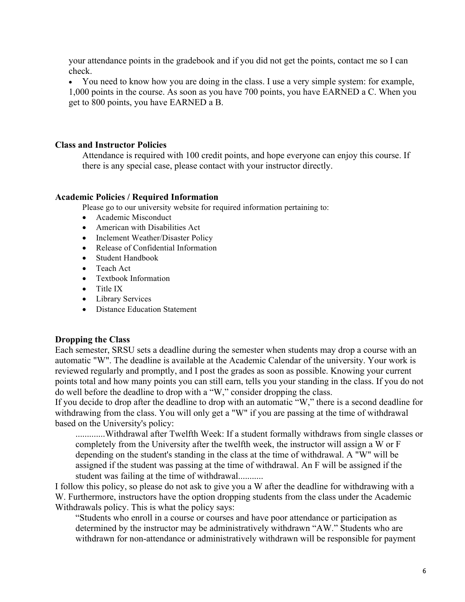your attendance points in the gradebook and if you did not get the points, contact me so I can check.

• You need to know how you are doing in the class. I use a very simple system: for example, 1,000 points in the course. As soon as you have 700 points, you have EARNED a C. When you get to 800 points, you have EARNED a B.

### **Class and Instructor Policies**

Attendance is required with 100 credit points, and hope everyone can enjoy this course. If there is any special case, please contact with your instructor directly.

#### **Academic Policies / Required Information**

Please go to our university website for required information pertaining to:

- Academic Misconduct
- American with Disabilities Act
- Inclement Weather/Disaster Policy
- Release of Confidential Information
- Student Handbook
- Teach Act
- Textbook Information
- Title IX
- Library Services
- Distance Education Statement

#### **Dropping the Class**

Each semester, SRSU sets a deadline during the semester when students may drop a course with an automatic "W". The deadline is available at the Academic Calendar of the university. Your work is reviewed regularly and promptly, and I post the grades as soon as possible. Knowing your current points total and how many points you can still earn, tells you your standing in the class. If you do not do well before the deadline to drop with a "W," consider dropping the class.

If you decide to drop after the deadline to drop with an automatic "W," there is a second deadline for withdrawing from the class. You will only get a "W" if you are passing at the time of withdrawal based on the University's policy:

.............Withdrawal after Twelfth Week: If a student formally withdraws from single classes or completely from the University after the twelfth week, the instructor will assign a W or F depending on the student's standing in the class at the time of withdrawal. A "W" will be assigned if the student was passing at the time of withdrawal. An F will be assigned if the student was failing at the time of withdrawal...........

I follow this policy, so please do not ask to give you a W after the deadline for withdrawing with a W. Furthermore, instructors have the option dropping students from the class under the Academic Withdrawals policy. This is what the policy says:

"Students who enroll in a course or courses and have poor attendance or participation as determined by the instructor may be administratively withdrawn "AW." Students who are withdrawn for non-attendance or administratively withdrawn will be responsible for payment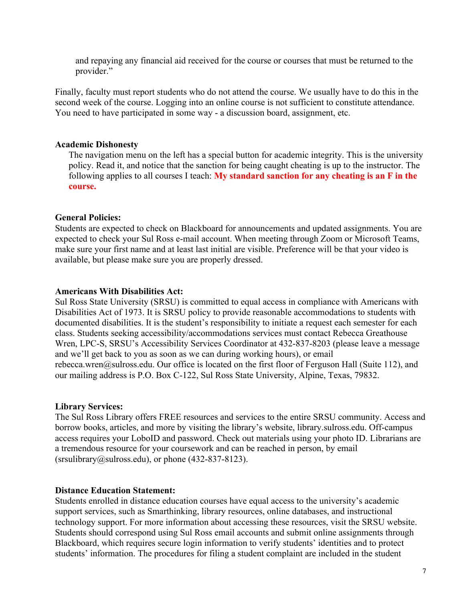and repaying any financial aid received for the course or courses that must be returned to the provider."

Finally, faculty must report students who do not attend the course. We usually have to do this in the second week of the course. Logging into an online course is not sufficient to constitute attendance. You need to have participated in some way - a discussion board, assignment, etc.

#### **Academic Dishonesty**

The navigation menu on the left has a special button for academic integrity. This is the university policy. Read it, and notice that the sanction for being caught cheating is up to the instructor. The following applies to all courses I teach: **My standard sanction for any cheating is an F in the course.**

#### **General Policies:**

Students are expected to check on Blackboard for announcements and updated assignments. You are expected to check your Sul Ross e-mail account. When meeting through Zoom or Microsoft Teams, make sure your first name and at least last initial are visible. Preference will be that your video is available, but please make sure you are properly dressed.

#### **Americans With Disabilities Act:**

Sul Ross State University (SRSU) is committed to equal access in compliance with Americans with Disabilities Act of 1973. It is SRSU policy to provide reasonable accommodations to students with documented disabilities. It is the student's responsibility to initiate a request each semester for each class. Students seeking accessibility/accommodations services must contact Rebecca Greathouse Wren, LPC-S, SRSU's Accessibility Services Coordinator at 432-837-8203 (please leave a message and we'll get back to you as soon as we can during working hours), or email rebecca.wren@sulross.edu. Our office is located on the first floor of Ferguson Hall (Suite 112), and our mailing address is P.O. Box C-122, Sul Ross State University, Alpine, Texas, 79832.

#### **Library Services:**

The Sul Ross Library offers FREE resources and services to the entire SRSU community. Access and borrow books, articles, and more by visiting the library's website, library.sulross.edu. Off-campus access requires your LoboID and password. Check out materials using your photo ID. Librarians are a tremendous resource for your coursework and can be reached in person, by email  $(srsulibrary@sulross.edu)$ , or phone  $(432-837-8123)$ .

#### **Distance Education Statement:**

Students enrolled in distance education courses have equal access to the university's academic support services, such as Smarthinking, library resources, online databases, and instructional technology support. For more information about accessing these resources, visit the SRSU website. Students should correspond using Sul Ross email accounts and submit online assignments through Blackboard, which requires secure login information to verify students' identities and to protect students' information. The procedures for filing a student complaint are included in the student